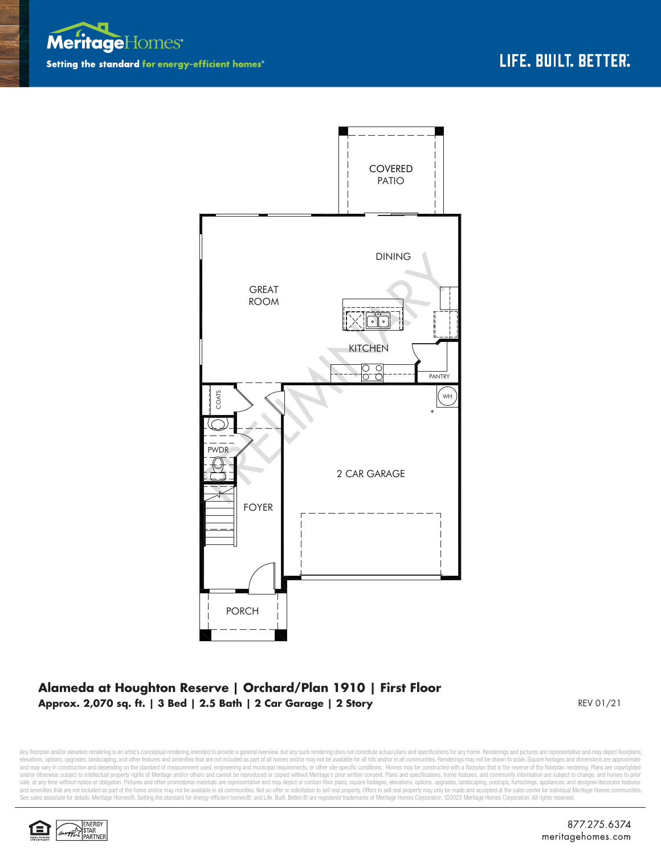



## **Alameda at Houghton Reserve | Orchard/Plan 1910 | First Floor Approx. 2,070 sq. ft. | 3 Bed | 2.5 Bath | 2 Car Garage | 2 Story** REV 01/21

Any floorplan and/or elevation rendering is an artist's conceptual rendering intended to provide a general overview, but any such rendering does not constitute actual plans and specifications for any home. Renderings and p elevations, options, upgrades, landscaping, and other features and amenities that are not included as part of all homes and/or may not be available for all lots and/or in all communities. Renderings may not be drawn to sca and may vary in construction and depending on the standard of measurement used, engineering and municipal requirements, or other site-specific conditions. Homes may be constructed with a floorplan that is the reverse of th and/or otherwise subject to intellectual property rights of Meritage and/or others and cannot be reproduced or copied without Meritage's prior written consent. Plans and specifications, home features, and community informa sale, at any time without notice or obligation. Pictures and other promotional materials are representative and may depict or contain floor plans, square footages, elevations, options, upgrades, landscaping, pool/spa, furn See sales associate for details. Meritage Homes®, Setting the standard for energy-efficient homes®, and Life. Built. Better. @ are registered trademarks of Meritage Homes Corporation. ©2022 Meritage Homes Corporation. All